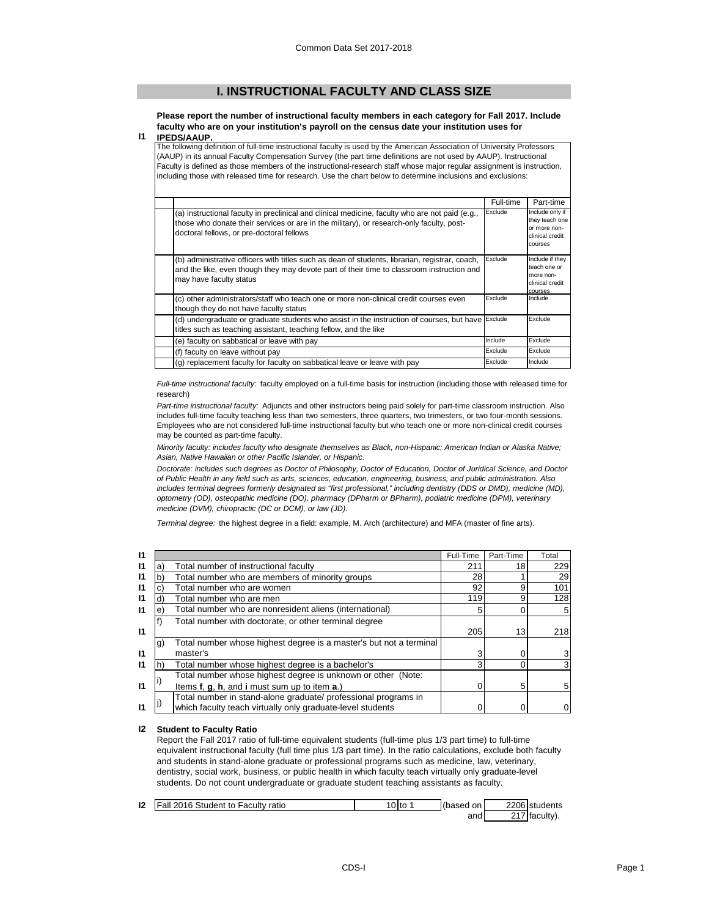## **I. INSTRUCTIONAL FACULTY AND CLASS SIZE**

**Please report the number of instructional faculty members in each category for Fall 2017. Include faculty who are on your institution's payroll on the census date your institution uses for** 

#### **I1 IPEDS/AAUP.**

The following definition of full-time instructional faculty is used by the American Association of University Professors (AAUP) in its annual Faculty Compensation Survey (the part time definitions are not used by AAUP). Instructional Faculty is defined as those members of the instructional-research staff whose major regular assignment is instruction, including those with released time for research. Use the chart below to determine inclusions and exclusions:

|                                                                                                                                                                                                                                          | Full-time | Part-time                                                                       |
|------------------------------------------------------------------------------------------------------------------------------------------------------------------------------------------------------------------------------------------|-----------|---------------------------------------------------------------------------------|
| (a) instructional faculty in preclinical and clinical medicine, faculty who are not paid (e.g.,<br>those who donate their services or are in the military), or research-only faculty, post-<br>doctoral fellows, or pre-doctoral fellows | Exclude   | Include only if<br>they teach one<br>or more non-<br>clinical credit<br>courses |
| (b) administrative officers with titles such as dean of students, librarian, registrar, coach,<br>and the like, even though they may devote part of their time to classroom instruction and<br>may have faculty status                   | Exclude   | Include if they<br>teach one or<br>more non-<br>clinical credit<br>courses      |
| (c) other administrators/staff who teach one or more non-clinical credit courses even<br>though they do not have faculty status                                                                                                          | Exclude   | Include                                                                         |
| (d) undergraduate or graduate students who assist in the instruction of courses, but have<br>titles such as teaching assistant, teaching fellow, and the like                                                                            | Exclude   | Exclude                                                                         |
| (e) faculty on sabbatical or leave with pay                                                                                                                                                                                              | Include   | Exclude                                                                         |
| (f) faculty on leave without pay                                                                                                                                                                                                         | Exclude   | Exclude                                                                         |
| (g) replacement faculty for faculty on sabbatical leave or leave with pay                                                                                                                                                                | Exclude   | Include                                                                         |

*Full-time instructional faculty:* faculty employed on a full-time basis for instruction (including those with released time for research)

*Part-time instructional faculty:* Adjuncts and other instructors being paid solely for part-time classroom instruction. Also includes full-time faculty teaching less than two semesters, three quarters, two trimesters, or two four-month sessions. Employees who are not considered full-time instructional faculty but who teach one or more non-clinical credit courses may be counted as part-time faculty.

*Minority faculty: includes faculty who designate themselves as Black, non-Hispanic; American Indian or Alaska Native; Asian, Native Hawaiian or other Pacific Islander, or Hispanic.* 

*Doctorate: includes such degrees as Doctor of Philosophy, Doctor of Education, Doctor of Juridical Science, and Doctor of Public Health in any field such as arts, sciences, education, engineering, business, and public administration. Also*  includes terminal degrees formerly designated as "first professional," including dentistry (DDS or DMD), medicine (MD), *optometry (OD), osteopathic medicine (DO), pharmacy (DPharm or BPharm), podiatric medicine (DPM), veterinary medicine (DVM), chiropractic (DC or DCM), or law (JD).*

*Terminal degree:* the highest degree in a field: example, M. Arch (architecture) and MFA (master of fine arts).

| $\mathbf{I}$ |    |                                                                    | Full-Time | Part-Time | Total          |
|--------------|----|--------------------------------------------------------------------|-----------|-----------|----------------|
| $\mathsf{I}$ | а  | Total number of instructional faculty                              | 211       | 18        | 229            |
| $\mathbf{I}$ | b. | Total number who are members of minority groups                    | 28        |           | <b>29</b>      |
| $\mathsf{I}$ |    | Total number who are women                                         | 92        | 9         | 101            |
| $\mathsf{I}$ | a: | Total number who are men                                           | 119       | 9         | 128            |
| $\mathbf{I}$ | e. | Total number who are nonresident aliens (international)            |           |           | 5 <sub>l</sub> |
|              |    | Total number with doctorate, or other terminal degree              |           |           |                |
| $\mathbf{I}$ |    |                                                                    | 205       | 13        | 218            |
|              | g) | Total number whose highest degree is a master's but not a terminal |           |           |                |
| $\mathbf{I}$ |    | master's                                                           | 3         |           | 3              |
| $\mathsf{I}$ |    | Total number whose highest degree is a bachelor's                  | 3         |           | 3              |
|              |    | Total number whose highest degree is unknown or other (Note:       |           |           |                |
| $\mathbf{I}$ |    | Items f, g, h, and i must sum up to item a.)                       |           | 5         | 5              |
|              |    | Total number in stand-alone graduate/ professional programs in     |           |           |                |
| $\mathsf{I}$ |    | which faculty teach virtually only graduate-level students         |           |           | $\overline{0}$ |

## **I2 Student to Faculty Ratio**

Report the Fall 2017 ratio of full-time equivalent students (full-time plus 1/3 part time) to full-time equivalent instructional faculty (full time plus 1/3 part time). In the ratio calculations, exclude both faculty and students in stand-alone graduate or professional programs such as medicine, law, veterinary, dentistry, social work, business, or public health in which faculty teach virtually only graduate-level students. Do not count undergraduate or graduate student teaching assistants as faculty.

| 12 | Fall 2016 Student to Faculty ratio | 0 <sub>to</sub> | (based on | 2206 students |
|----|------------------------------------|-----------------|-----------|---------------|
|    |                                    |                 | and       | 217 faculty). |